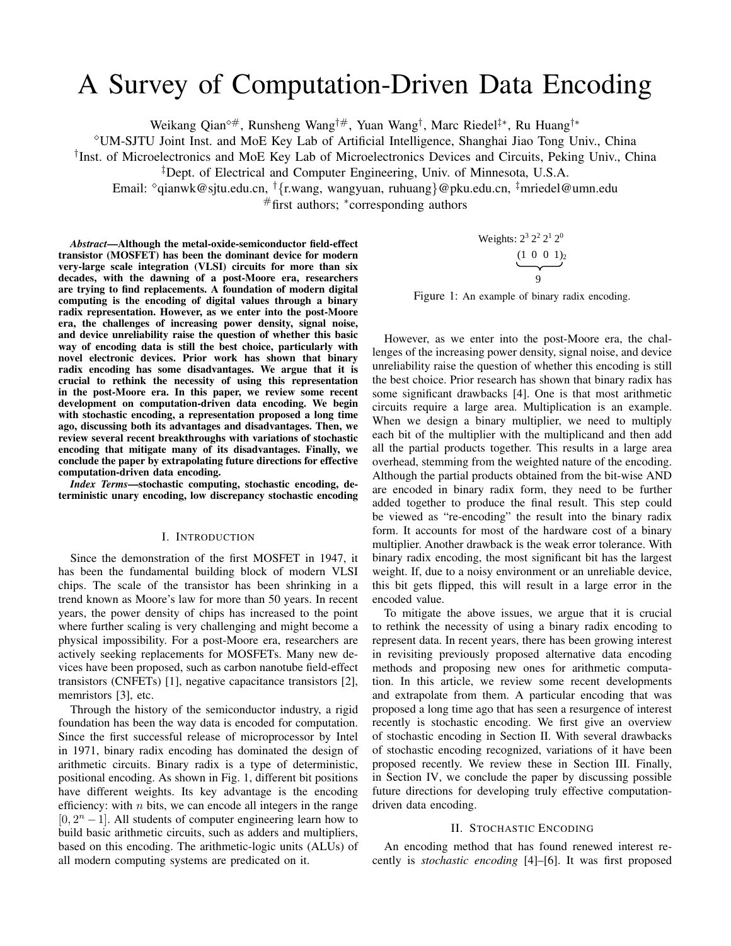# A Survey of Computation-Driven Data Encoding

Weikang Qian<sup>0#</sup>, Runsheng Wang<sup>†#</sup>, Yuan Wang<sup>†</sup>, Marc Riedel<sup>‡\*</sup>, Ru Huang<sup>†\*</sup>

UM-SJTU Joint Inst. and MoE Key Lab of Artificial Intelligence, Shanghai Jiao Tong Univ., China

† Inst. of Microelectronics and MoE Key Lab of Microelectronics Devices and Circuits, Peking Univ., China

‡Dept. of Electrical and Computer Engineering, Univ. of Minnesota, U.S.A.

Email:  $\partial$ qianwk@sjtu.edu.cn,  $\dagger$ {r.wang, wangyuan, ruhuang}@pku.edu.cn,  $\ddagger$ mriedel@umn.edu

#first authors; <sup>∗</sup> corresponding authors

*Abstract*—Although the metal-oxide-semiconductor field-effect transistor (MOSFET) has been the dominant device for modern very-large scale integration (VLSI) circuits for more than six decades, with the dawning of a post-Moore era, researchers are trying to find replacements. A foundation of modern digital computing is the encoding of digital values through a binary radix representation. However, as we enter into the post-Moore era, the challenges of increasing power density, signal noise, and device unreliability raise the question of whether this basic way of encoding data is still the best choice, particularly with novel electronic devices. Prior work has shown that binary radix encoding has some disadvantages. We argue that it is crucial to rethink the necessity of using this representation in the post-Moore era. In this paper, we review some recent development on computation-driven data encoding. We begin with stochastic encoding, a representation proposed a long time ago, discussing both its advantages and disadvantages. Then, we review several recent breakthroughs with variations of stochastic encoding that mitigate many of its disadvantages. Finally, we conclude the paper by extrapolating future directions for effective computation-driven data encoding.

*Index Terms*—stochastic computing, stochastic encoding, deterministic unary encoding, low discrepancy stochastic encoding

## I. INTRODUCTION

Since the demonstration of the first MOSFET in 1947, it has been the fundamental building block of modern VLSI chips. The scale of the transistor has been shrinking in a trend known as Moore's law for more than 50 years. In recent years, the power density of chips has increased to the point where further scaling is very challenging and might become a physical impossibility. For a post-Moore era, researchers are actively seeking replacements for MOSFETs. Many new devices have been proposed, such as carbon nanotube field-effect transistors (CNFETs) [1], negative capacitance transistors [2], memristors [3], etc.

Through the history of the semiconductor industry, a rigid foundation has been the way data is encoded for computation. Since the first successful release of microprocessor by Intel in 1971, binary radix encoding has dominated the design of arithmetic circuits. Binary radix is a type of deterministic, positional encoding. As shown in Fig. 1, different bit positions have different weights. Its key advantage is the encoding efficiency: with  $n$  bits, we can encode all integers in the range [ $0, 2<sup>n</sup> - 1$ ]. All students of computer engineering learn how to build basic arithmetic circuits, such as adders and multipliers, based on this encoding. The arithmetic-logic units (ALUs) of all modern computing systems are predicated on it.

$$
\begin{array}{c}\n\text{Weights: } 2^3 \, 2^2 \, 2^1 \, 2^0 \\
\underbrace{(1 \ 0 \ 0 \ 1)}_2 \\
\underbrace{0} \\
0\n\end{array}
$$

Figure 1: An example of binary radix encoding.

However, as we enter into the post-Moore era, the challenges of the increasing power density, signal noise, and device unreliability raise the question of whether this encoding is still the best choice. Prior research has shown that binary radix has some significant drawbacks [4]. One is that most arithmetic circuits require a large area. Multiplication is an example. When we design a binary multiplier, we need to multiply each bit of the multiplier with the multiplicand and then add all the partial products together. This results in a large area overhead, stemming from the weighted nature of the encoding. Although the partial products obtained from the bit-wise AND are encoded in binary radix form, they need to be further added together to produce the final result. This step could be viewed as "re-encoding" the result into the binary radix form. It accounts for most of the hardware cost of a binary multiplier. Another drawback is the weak error tolerance. With binary radix encoding, the most significant bit has the largest weight. If, due to a noisy environment or an unreliable device, this bit gets flipped, this will result in a large error in the encoded value.

To mitigate the above issues, we argue that it is crucial to rethink the necessity of using a binary radix encoding to represent data. In recent years, there has been growing interest in revisiting previously proposed alternative data encoding methods and proposing new ones for arithmetic computation. In this article, we review some recent developments and extrapolate from them. A particular encoding that was proposed a long time ago that has seen a resurgence of interest recently is stochastic encoding. We first give an overview of stochastic encoding in Section II. With several drawbacks of stochastic encoding recognized, variations of it have been proposed recently. We review these in Section III. Finally, in Section IV, we conclude the paper by discussing possible future directions for developing truly effective computationdriven data encoding.

#### II. STOCHASTIC ENCODING

An encoding method that has found renewed interest recently is *stochastic encoding* [4]–[6]. It was first proposed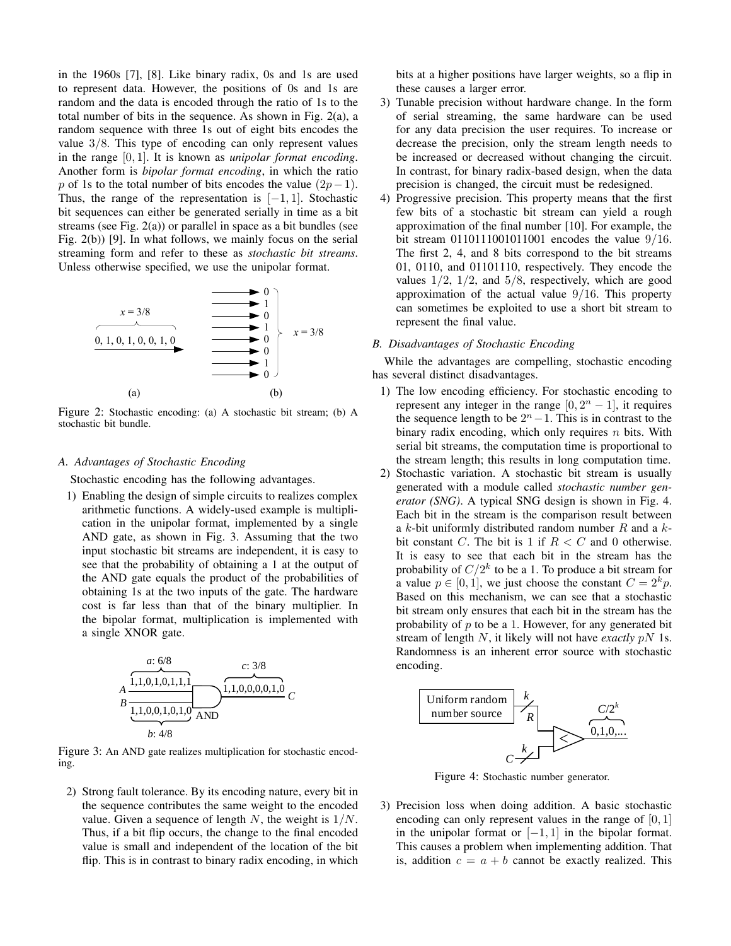in the 1960s [7], [8]. Like binary radix, 0s and 1s are used to represent data. However, the positions of 0s and 1s are random and the data is encoded through the ratio of 1s to the total number of bits in the sequence. As shown in Fig. 2(a), a random sequence with three 1s out of eight bits encodes the value 3/8. This type of encoding can only represent values in the range [0, 1]. It is known as *unipolar format encoding*. Another form is *bipolar format encoding*, in which the ratio p of 1s to the total number of bits encodes the value  $(2p-1)$ . Thus, the range of the representation is  $[-1, 1]$ . Stochastic bit sequences can either be generated serially in time as a bit streams (see Fig. 2(a)) or parallel in space as a bit bundles (see Fig. 2(b)) [9]. In what follows, we mainly focus on the serial streaming form and refer to these as *stochastic bit streams*. Unless otherwise specified, we use the unipolar format.



Figure 2: Stochastic encoding: (a) A stochastic bit stream; (b) A stochastic bit bundle.

## *A. Advantages of Stochastic Encoding*

Stochastic encoding has the following advantages.

1) Enabling the design of simple circuits to realizes complex arithmetic functions. A widely-used example is multiplication in the unipolar format, implemented by a single AND gate, as shown in Fig. 3. Assuming that the two input stochastic bit streams are independent, it is easy to see that the probability of obtaining a 1 at the output of the AND gate equals the product of the probabilities of obtaining 1s at the two inputs of the gate. The hardware cost is far less than that of the binary multiplier. In the bipolar format, multiplication is implemented with a single XNOR gate.



Figure 3: An AND gate realizes multiplication for stochastic encoding.

2) Strong fault tolerance. By its encoding nature, every bit in the sequence contributes the same weight to the encoded value. Given a sequence of length N, the weight is  $1/N$ . Thus, if a bit flip occurs, the change to the final encoded value is small and independent of the location of the bit flip. This is in contrast to binary radix encoding, in which bits at a higher positions have larger weights, so a flip in these causes a larger error.

- 3) Tunable precision without hardware change. In the form of serial streaming, the same hardware can be used for any data precision the user requires. To increase or decrease the precision, only the stream length needs to be increased or decreased without changing the circuit. In contrast, for binary radix-based design, when the data precision is changed, the circuit must be redesigned.
- 4) Progressive precision. This property means that the first few bits of a stochastic bit stream can yield a rough approximation of the final number [10]. For example, the bit stream 0110111001011001 encodes the value 9/16. The first 2, 4, and 8 bits correspond to the bit streams 01, 0110, and 01101110, respectively. They encode the values  $1/2$ ,  $1/2$ , and  $5/8$ , respectively, which are good approximation of the actual value  $9/16$ . This property can sometimes be exploited to use a short bit stream to represent the final value.

#### *B. Disadvantages of Stochastic Encoding*

While the advantages are compelling, stochastic encoding has several distinct disadvantages.

- 1) The low encoding efficiency. For stochastic encoding to represent any integer in the range  $[0, 2<sup>n</sup> - 1]$ , it requires the sequence length to be  $2<sup>n</sup> - 1$ . This is in contrast to the binary radix encoding, which only requires  $n$  bits. With serial bit streams, the computation time is proportional to the stream length; this results in long computation time.
- 2) Stochastic variation. A stochastic bit stream is usually generated with a module called *stochastic number generator (SNG)*. A typical SNG design is shown in Fig. 4. Each bit in the stream is the comparison result between a k-bit uniformly distributed random number  $R$  and a  $k$ bit constant C. The bit is 1 if  $R < C$  and 0 otherwise. It is easy to see that each bit in the stream has the probability of  $C/2^k$  to be a 1. To produce a bit stream for a value  $p \in [0, 1]$ , we just choose the constant  $C = 2^k p$ . Based on this mechanism, we can see that a stochastic bit stream only ensures that each bit in the stream has the probability of  $p$  to be a 1. However, for any generated bit stream of length N, it likely will not have *exactly* pN 1s. Randomness is an inherent error source with stochastic encoding.



Figure 4: Stochastic number generator.

3) Precision loss when doing addition. A basic stochastic encoding can only represent values in the range of  $[0, 1]$ in the unipolar format or  $[-1, 1]$  in the bipolar format. This causes a problem when implementing addition. That is, addition  $c = a + b$  cannot be exactly realized. This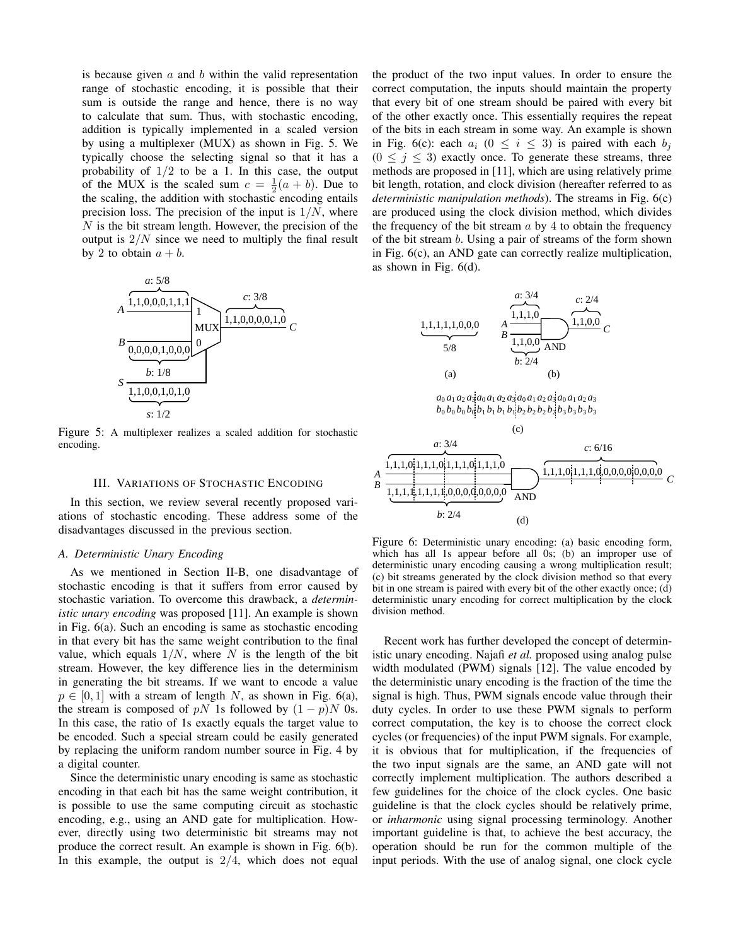is because given  $a$  and  $b$  within the valid representation range of stochastic encoding, it is possible that their sum is outside the range and hence, there is no way to calculate that sum. Thus, with stochastic encoding, addition is typically implemented in a scaled version by using a multiplexer (MUX) as shown in Fig. 5. We typically choose the selecting signal so that it has a probability of  $1/2$  to be a 1. In this case, the output of the MUX is the scaled sum  $c = \frac{1}{2}(a + b)$ . Due to the scaling, the addition with stochastic encoding entails precision loss. The precision of the input is  $1/N$ , where  $N$  is the bit stream length. However, the precision of the output is  $2/N$  since we need to multiply the final result by 2 to obtain  $a + b$ .



Figure 5: A multiplexer realizes a scaled addition for stochastic encoding.

#### III. VARIATIONS OF STOCHASTIC ENCODING

In this section, we review several recently proposed variations of stochastic encoding. These address some of the disadvantages discussed in the previous section.

#### *A. Deterministic Unary Encoding*

As we mentioned in Section II-B, one disadvantage of stochastic encoding is that it suffers from error caused by stochastic variation. To overcome this drawback, a *deterministic unary encoding* was proposed [11]. An example is shown in Fig. 6(a). Such an encoding is same as stochastic encoding in that every bit has the same weight contribution to the final value, which equals  $1/N$ , where N is the length of the bit stream. However, the key difference lies in the determinism in generating the bit streams. If we want to encode a value  $p \in [0, 1]$  with a stream of length N, as shown in Fig. 6(a), the stream is composed of pN 1s followed by  $(1 - p)N$  0s. In this case, the ratio of 1s exactly equals the target value to be encoded. Such a special stream could be easily generated by replacing the uniform random number source in Fig. 4 by a digital counter.

Since the deterministic unary encoding is same as stochastic encoding in that each bit has the same weight contribution, it is possible to use the same computing circuit as stochastic encoding, e.g., using an AND gate for multiplication. However, directly using two deterministic bit streams may not produce the correct result. An example is shown in Fig. 6(b). In this example, the output is  $2/4$ , which does not equal the product of the two input values. In order to ensure the correct computation, the inputs should maintain the property that every bit of one stream should be paired with every bit of the other exactly once. This essentially requires the repeat of the bits in each stream in some way. An example is shown in Fig. 6(c): each  $a_i$  ( $0 \le i \le 3$ ) is paired with each  $b_i$  $(0 \leq j \leq 3)$  exactly once. To generate these streams, three methods are proposed in [11], which are using relatively prime bit length, rotation, and clock division (hereafter referred to as *deterministic manipulation methods*). The streams in Fig. 6(c) are produced using the clock division method, which divides the frequency of the bit stream  $a$  by 4 to obtain the frequency of the bit stream b. Using a pair of streams of the form shown in Fig. 6(c), an AND gate can correctly realize multiplication, as shown in Fig. 6(d).







Figure 6: Deterministic unary encoding: (a) basic encoding form, which has all 1s appear before all 0s; (b) an improper use of deterministic unary encoding causing a wrong multiplication result; (c) bit streams generated by the clock division method so that every bit in one stream is paired with every bit of the other exactly once; (d) deterministic unary encoding for correct multiplication by the clock division method.

Recent work has further developed the concept of deterministic unary encoding. Najafi *et al.* proposed using analog pulse width modulated (PWM) signals [12]. The value encoded by the deterministic unary encoding is the fraction of the time the signal is high. Thus, PWM signals encode value through their duty cycles. In order to use these PWM signals to perform correct computation, the key is to choose the correct clock cycles (or frequencies) of the input PWM signals. For example, it is obvious that for multiplication, if the frequencies of the two input signals are the same, an AND gate will not correctly implement multiplication. The authors described a few guidelines for the choice of the clock cycles. One basic guideline is that the clock cycles should be relatively prime, or *inharmonic* using signal processing terminology. Another important guideline is that, to achieve the best accuracy, the operation should be run for the common multiple of the input periods. With the use of analog signal, one clock cycle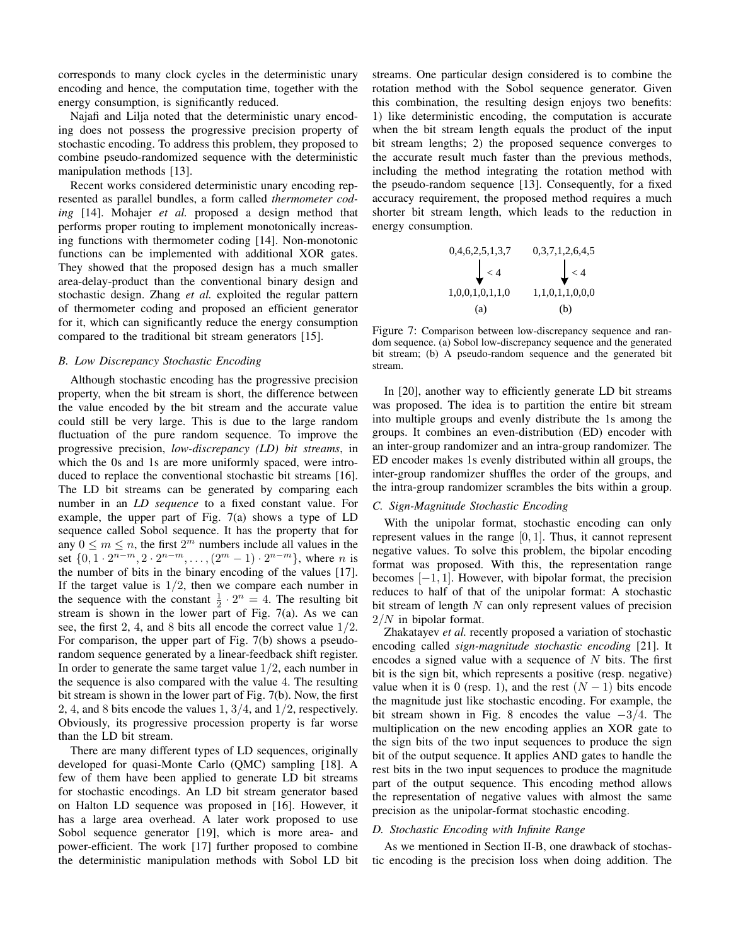corresponds to many clock cycles in the deterministic unary encoding and hence, the computation time, together with the energy consumption, is significantly reduced.

Najafi and Lilja noted that the deterministic unary encoding does not possess the progressive precision property of stochastic encoding. To address this problem, they proposed to combine pseudo-randomized sequence with the deterministic manipulation methods [13].

Recent works considered deterministic unary encoding represented as parallel bundles, a form called *thermometer coding* [14]. Mohajer *et al.* proposed a design method that performs proper routing to implement monotonically increasing functions with thermometer coding [14]. Non-monotonic functions can be implemented with additional XOR gates. They showed that the proposed design has a much smaller area-delay-product than the conventional binary design and stochastic design. Zhang *et al.* exploited the regular pattern of thermometer coding and proposed an efficient generator for it, which can significantly reduce the energy consumption compared to the traditional bit stream generators [15].

## *B. Low Discrepancy Stochastic Encoding*

Although stochastic encoding has the progressive precision property, when the bit stream is short, the difference between the value encoded by the bit stream and the accurate value could still be very large. This is due to the large random fluctuation of the pure random sequence. To improve the progressive precision, *low-discrepancy (LD) bit streams*, in which the 0s and 1s are more uniformly spaced, were introduced to replace the conventional stochastic bit streams [16]. The LD bit streams can be generated by comparing each number in an *LD sequence* to a fixed constant value. For example, the upper part of Fig. 7(a) shows a type of LD sequence called Sobol sequence. It has the property that for any  $0 \leq m \leq n$ , the first  $2^m$  numbers include all values in the set  $\{0, 1 \cdot 2^{n-m}, 2 \cdot 2^{n-m}, \dots, (2^m - 1) \cdot 2^{n-m}\}$ , where *n* is the number of bits in the binary encoding of the values [17]. If the target value is  $1/2$ , then we compare each number in the sequence with the constant  $\frac{1}{2} \cdot 2^n = 4$ . The resulting bit stream is shown in the lower part of Fig. 7(a). As we can see, the first 2, 4, and 8 bits all encode the correct value 1/2. For comparison, the upper part of Fig. 7(b) shows a pseudorandom sequence generated by a linear-feedback shift register. In order to generate the same target value  $1/2$ , each number in the sequence is also compared with the value 4. The resulting bit stream is shown in the lower part of Fig. 7(b). Now, the first 2, 4, and 8 bits encode the values 1,  $3/4$ , and  $1/2$ , respectively. Obviously, its progressive procession property is far worse than the LD bit stream.

There are many different types of LD sequences, originally developed for quasi-Monte Carlo (QMC) sampling [18]. A few of them have been applied to generate LD bit streams for stochastic encodings. An LD bit stream generator based on Halton LD sequence was proposed in [16]. However, it has a large area overhead. A later work proposed to use Sobol sequence generator [19], which is more area- and power-efficient. The work [17] further proposed to combine the deterministic manipulation methods with Sobol LD bit streams. One particular design considered is to combine the rotation method with the Sobol sequence generator. Given this combination, the resulting design enjoys two benefits: 1) like deterministic encoding, the computation is accurate when the bit stream length equals the product of the input bit stream lengths; 2) the proposed sequence converges to the accurate result much faster than the previous methods, including the method integrating the rotation method with the pseudo-random sequence [13]. Consequently, for a fixed accuracy requirement, the proposed method requires a much shorter bit stream length, which leads to the reduction in energy consumption.

0,4,6,2,5,1,3,7  
\n
$$
\downarrow
$$
  $\lt$  4  
\n1,0,0,1,0,1,1,0  
\n(1,0,0,1,0,0)  
\n(2,0,1,0,0,0)  
\n(3,0,0,0)  
\n(4,0,0)  
\n(5,0,0,0)  
\n(6,0,0)

Figure 7: Comparison between low-discrepancy sequence and random sequence. (a) Sobol low-discrepancy sequence and the generated bit stream; (b) A pseudo-random sequence and the generated bit stream.

In [20], another way to efficiently generate LD bit streams was proposed. The idea is to partition the entire bit stream into multiple groups and evenly distribute the 1s among the groups. It combines an even-distribution (ED) encoder with an inter-group randomizer and an intra-group randomizer. The ED encoder makes 1s evenly distributed within all groups, the inter-group randomizer shuffles the order of the groups, and the intra-group randomizer scrambles the bits within a group.

## *C. Sign-Magnitude Stochastic Encoding*

With the unipolar format, stochastic encoding can only represent values in the range  $[0, 1]$ . Thus, it cannot represent negative values. To solve this problem, the bipolar encoding format was proposed. With this, the representation range becomes  $[-1, 1]$ . However, with bipolar format, the precision reduces to half of that of the unipolar format: A stochastic bit stream of length  $N$  can only represent values of precision 2/N in bipolar format.

Zhakatayev *et al.* recently proposed a variation of stochastic encoding called *sign-magnitude stochastic encoding* [21]. It encodes a signed value with a sequence of  $N$  bits. The first bit is the sign bit, which represents a positive (resp. negative) value when it is 0 (resp. 1), and the rest  $(N-1)$  bits encode the magnitude just like stochastic encoding. For example, the bit stream shown in Fig. 8 encodes the value −3/4. The multiplication on the new encoding applies an XOR gate to the sign bits of the two input sequences to produce the sign bit of the output sequence. It applies AND gates to handle the rest bits in the two input sequences to produce the magnitude part of the output sequence. This encoding method allows the representation of negative values with almost the same precision as the unipolar-format stochastic encoding.

## *D. Stochastic Encoding with Infinite Range*

As we mentioned in Section II-B, one drawback of stochastic encoding is the precision loss when doing addition. The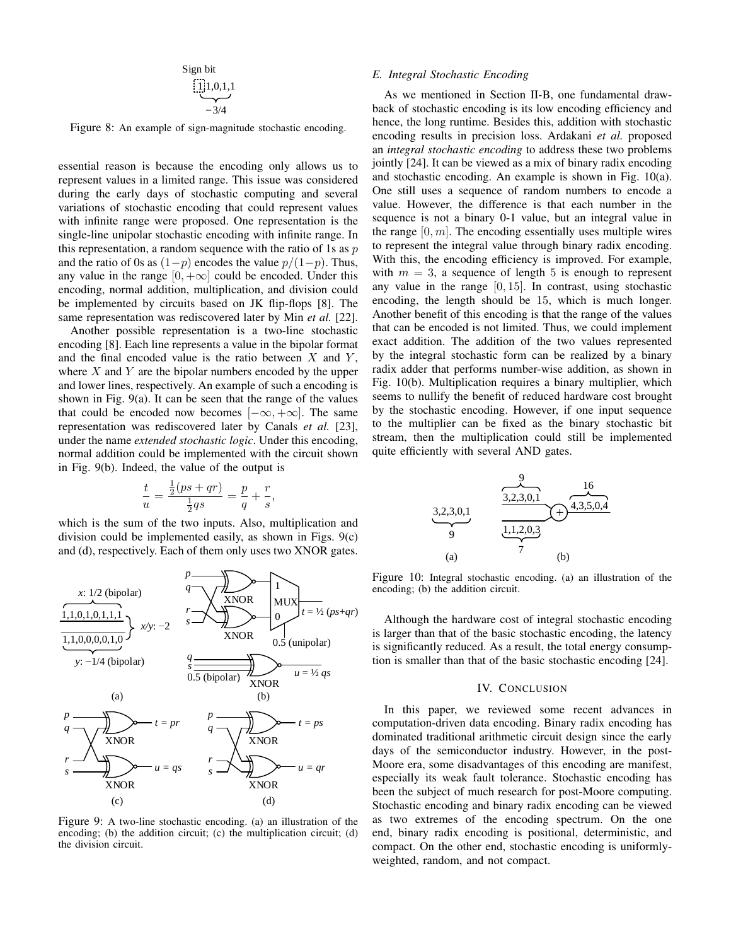Sign bit\n
$$
\begin{array}{c}\n\prod_{i=1}^{n}1,0,1,1 \\
-\frac{3}{4}\n\end{array}
$$

Figure 8: An example of sign-magnitude stochastic encoding.

essential reason is because the encoding only allows us to represent values in a limited range. This issue was considered during the early days of stochastic computing and several variations of stochastic encoding that could represent values with infinite range were proposed. One representation is the single-line unipolar stochastic encoding with infinite range. In this representation, a random sequence with the ratio of 1s as  $p$ and the ratio of 0s as  $(1-p)$  encodes the value  $p/(1-p)$ . Thus, any value in the range  $[0, +\infty]$  could be encoded. Under this encoding, normal addition, multiplication, and division could be implemented by circuits based on JK flip-flops [8]. The same representation was rediscovered later by Min *et al.* [22].

Another possible representation is a two-line stochastic encoding [8]. Each line represents a value in the bipolar format and the final encoded value is the ratio between  $X$  and  $Y$ , where  $X$  and  $Y$  are the bipolar numbers encoded by the upper and lower lines, respectively. An example of such a encoding is shown in Fig. 9(a). It can be seen that the range of the values that could be encoded now becomes  $[-\infty, +\infty]$ . The same representation was rediscovered later by Canals *et al.* [23], under the name *extended stochastic logic*. Under this encoding, normal addition could be implemented with the circuit shown in Fig. 9(b). Indeed, the value of the output is

$$
\frac{t}{u} = \frac{\frac{1}{2}(ps + qr)}{\frac{1}{2}qs} = \frac{p}{q} + \frac{r}{s},
$$

which is the sum of the two inputs. Also, multiplication and division could be implemented easily, as shown in Figs. 9(c) and (d), respectively. Each of them only uses two XNOR gates.



Figure 9: A two-line stochastic encoding. (a) an illustration of the encoding; (b) the addition circuit; (c) the multiplication circuit; (d) the division circuit.

#### *E. Integral Stochastic Encoding*

As we mentioned in Section II-B, one fundamental drawback of stochastic encoding is its low encoding efficiency and hence, the long runtime. Besides this, addition with stochastic encoding results in precision loss. Ardakani *et al.* proposed an *integral stochastic encoding* to address these two problems jointly [24]. It can be viewed as a mix of binary radix encoding and stochastic encoding. An example is shown in Fig. 10(a). One still uses a sequence of random numbers to encode a value. However, the difference is that each number in the sequence is not a binary 0-1 value, but an integral value in the range  $[0, m]$ . The encoding essentially uses multiple wires to represent the integral value through binary radix encoding. With this, the encoding efficiency is improved. For example, with  $m = 3$ , a sequence of length 5 is enough to represent any value in the range  $[0, 15]$ . In contrast, using stochastic encoding, the length should be 15, which is much longer. Another benefit of this encoding is that the range of the values that can be encoded is not limited. Thus, we could implement exact addition. The addition of the two values represented by the integral stochastic form can be realized by a binary radix adder that performs number-wise addition, as shown in Fig. 10(b). Multiplication requires a binary multiplier, which seems to nullify the benefit of reduced hardware cost brought by the stochastic encoding. However, if one input sequence to the multiplier can be fixed as the binary stochastic bit stream, then the multiplication could still be implemented quite efficiently with several AND gates.



Figure 10: Integral stochastic encoding. (a) an illustration of the encoding; (b) the addition circuit.

Although the hardware cost of integral stochastic encoding is larger than that of the basic stochastic encoding, the latency is significantly reduced. As a result, the total energy consumption is smaller than that of the basic stochastic encoding [24].

## IV. CONCLUSION

In this paper, we reviewed some recent advances in computation-driven data encoding. Binary radix encoding has dominated traditional arithmetic circuit design since the early days of the semiconductor industry. However, in the post-Moore era, some disadvantages of this encoding are manifest, especially its weak fault tolerance. Stochastic encoding has been the subject of much research for post-Moore computing. Stochastic encoding and binary radix encoding can be viewed as two extremes of the encoding spectrum. On the one end, binary radix encoding is positional, deterministic, and compact. On the other end, stochastic encoding is uniformlyweighted, random, and not compact.